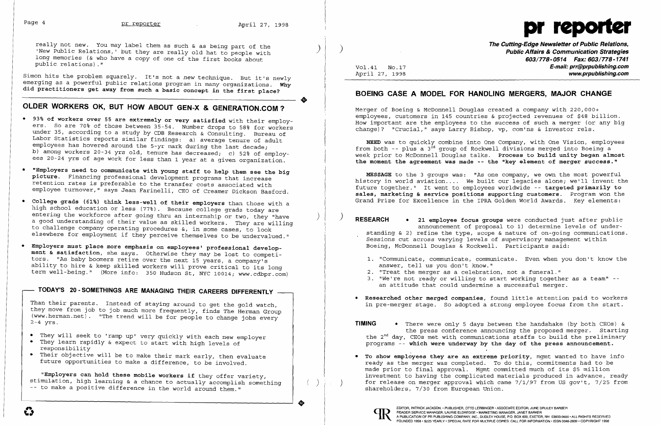$\bullet$ 



Simon hits the problem squarely. It's not a *new* technique. But it's newly emerging as a powerful public relations program in many organizations. Why did practitioners get away from such a basic concept in the first place?

really not new. You may label them as such & as being part of the 'New Public Relations,' but they are really old hat to people with long memories (& who have a copy of one of the first books about public relations)."

## **OLDER WORKERS OK, BUT HOW ABOUT GEN-X & GENERATION.COM ?**

- • They will seek to 'ramp up' very quickly with each new employer
- They learn rapidly & expect to start with high levels of Ĩ responsibility
- Their objective will be to make their mark early, then evaluate future opportunities to make a difference, to be involved. Ī
- • 93% of workers over 55 are extremely or very satisfied with their employers. So are 70% of those between 35-54. Number drops to 58% for workers under 35, according to a study by CDB Research & Consulting. Bureau of Labor Statistics reports similar findings: a) average tenure of adult employees has hovered around the 5-yr mark during the last decade; b) among workers 20-34 yrs old, tenure has decreased; c) 52% of employees 20-24 yrs of age work for less than 1 year at a given organization.
- • "Employers need to communicate with young staff to help them see the big picture. Financing professional development programs that increase retention rates is preferable to the transfer costs associated with employee turnover," says Jean Farinelli, CEO of Creamer Dickson Basford.
- • College grads (61%) think less-well of their employers than those with a high school education or less (77%). Because college grads today are entering the workforce after going thru an internship or two, they "have a good understanding of their value as skilled workers. They are willing to challenge company operating procedures &, in some cases, to look elsewhere for employment if they perceive themselves to be undervalued."
- • Employers must place more emphasis on employees' professional development & satisfaction, she says. Otherwise they may be lost to competitors. "As baby boomers retire over the next 15 years, a company's ability to hire & keep skilled workers will prove critical to its long term well-being." (More info: 350 Hudson St, NYC 10014; www.cdbpr.com)

Merger of Boeing & McDonnell Douglas created a company with 220,000+ employees, customers in 145 countries & projected revenues of \$48 billion. How important are the employees to the success of such a merger (or any big change)? "Crucial," says Larry Bishop, vp, com'ns & investor rels.

## **TODAY'S 20 - SOMETHINGS ARE MANAGING THEIR CAREERS DIFFERENTLY**

- answer, tell us you don't know."
- 2. "Treat the merger as a celebration, not a funeral."
- • Researched other merged companies, found little attention paid to workers
- **TIMING** There were only 5 days between the handshake (by both CEOs) & programs -- which were underway by the day of the press announcement.
- To show employees they are an extreme priority, mgmt wanted to have info ready as the merger was completed. To do this, commitments had to be made prior to final approval. Mgmt committed much of its \$5 million ) for release on merger approval which came 7/1/97 from US gov't, 7/25 from shareholders, 7/30 from European Union.



Than their parents. Instead of staying around to get the gold watch, they move from job to job much more frequently, finds The Herman Group  $(www.herman.net)$ . "The trend will be for people to change jobs every 2-4 yrs.

the press conference announcing the proposed merger. Starting the  $2^{nd}$  day, CEOs met with communications staffs to build the preliminary

"Employers can hold these mobile workers if they offer variety, stimulation, high learning & a chance to actually accomplish something -- to make a positive difference in the world around them."

EDITOR, PATRICK JACKSON.• PUBLISHER, OTTO LERBINGER • ASSOCIATE EDITOR, JUNE DRULEY BARBER<br>READER SERVICE MANAGER, LAURIE ELDREDGE • MARKETING MANAGER, JANET BARKER<br>FOUNDED 1958 • \$225 YEARLY • SPECIAL RATE FOR MULTIPLE CO READER SERVICE MANAGER, LAURIE ELDREDGE· MARKETING MANAGER, JANET BARKER

**The Cutting-Edge Newsletter of Public Relations,** ) ) **Public Affairs & Communication Strategies**  *603/778-0514 Fax: 603/778-1741*  Vol. 41 NO.17 **E-mail: prr@prpublishing.com**  April 27, 1998 **www.prpublishing.com** 

## **BOEING CASE A MODEL FOR HANDLING MERGERS, MAJOR CHANGE**

NEED was to quickly combine into One Company, with One Vision, employees from both  $-$ - plus a 3<sup>rd</sup> group of Rockwell divisions merged into Boeing a week prior to McDonnell Douglas talks. Process to build unity began almost the moment the agreement was made -- the "key element of merger success."

MESSAGE to the 3 groups was: "As one company, we own the most powerful history in world aviation.... We built our legacies alone; we'll invent the future together." It went to employees worldwide -- targeted primarily to sales, marketing & service positions supporting customers. Program won the Grand Prize for Excellence in the IPRA Golden World Awards. Key elements:

) ) **RESEARCH •** 21 employee focus groups were conducted just after public announcement of proposal to 1) determine levels of understanding & 2) refine the type, scope & nature of on-going communications. Sessions cut across varying levels of supervisory management within Boeing, McDonnell Douglas & Rockwell. Participants said:

1. "Communicate, communicate, communicate. Even when you don't know the 3. "We're not ready or willing to start working together as a team" -an attitude that could undermine a successful merger.

in pre-merger stage. So adopted a strong employee focus from the start.

investment to having the complicated materials produced in advance, ready

..